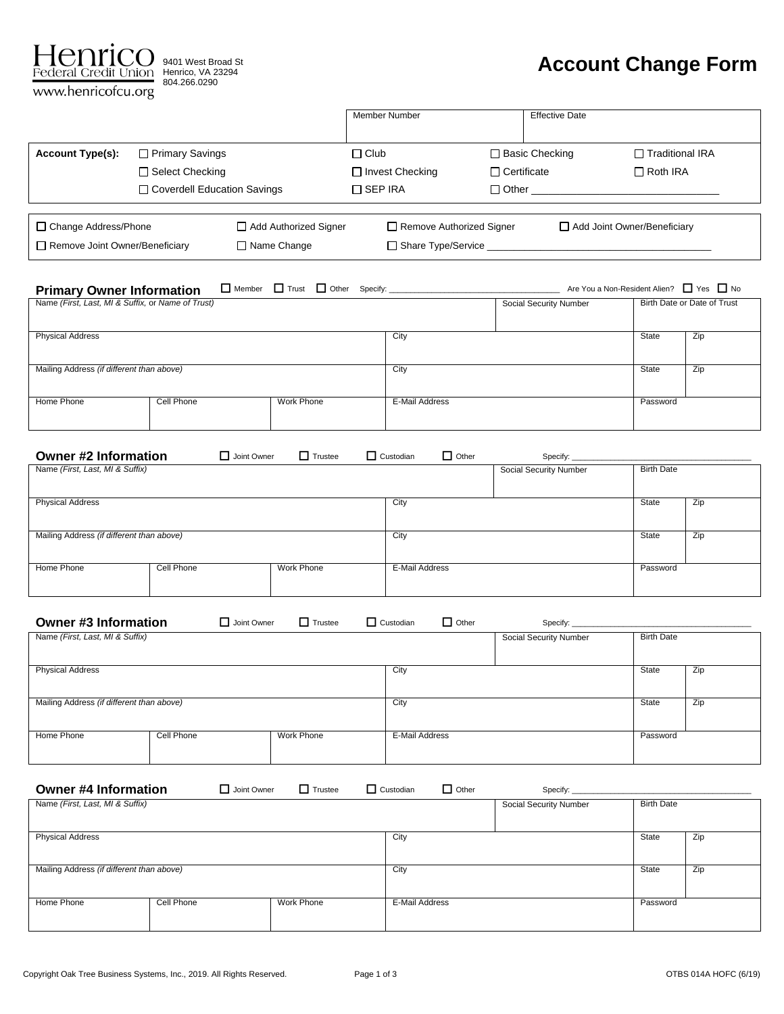

9401 West Broad St 804.266.0290

# **Account Change Form**

|                                |                               |                       | Member Number                   |                       | <b>Effective Date</b> |                             |
|--------------------------------|-------------------------------|-----------------------|---------------------------------|-----------------------|-----------------------|-----------------------------|
| <b>Account Type(s):</b>        | $\Box$ Primary Savings        |                       | $\Box$ Club                     | $\Box$ Basic Checking |                       | □ Traditional IRA           |
|                                | □ Select Checking             |                       | $\Box$ Invest Checking          | $\Box$ Certificate    |                       | $\Box$ Roth IRA             |
|                                | □ Coverdell Education Savings |                       | □ SEP IRA                       |                       | $\Box$ Other          |                             |
| □ Change Address/Phone         |                               | Add Authorized Signer | $\Box$ Remove Authorized Signer |                       |                       | Add Joint Owner/Beneficiary |
| Remove Joint Owner/Beneficiary |                               | $\Box$ Name Change    | □ Share Type/Service            |                       |                       |                             |

| <b>Primary Owner Information</b>                  |            | Member Trust Other Specify: |                |                               | Are You a Non-Resident Alien? □ Yes □ No |                             |
|---------------------------------------------------|------------|-----------------------------|----------------|-------------------------------|------------------------------------------|-----------------------------|
| Name (First, Last, MI & Suffix, or Name of Trust) |            |                             |                | <b>Social Security Number</b> |                                          | Birth Date or Date of Trust |
| <b>Physical Address</b>                           |            |                             | City           |                               | State                                    | Zip                         |
| Mailing Address (if different than above)         |            |                             | City           |                               | State                                    | Zip                         |
| Home Phone                                        | Cell Phone | Work Phone                  | E-Mail Address |                               | Password                                 |                             |

| <b>Owner #2 Information</b>               | Joint Owner | $\Box$ Trustee | $\Box$ Custodian | $\Box$ Other   | Specify:                      |                   |     |
|-------------------------------------------|-------------|----------------|------------------|----------------|-------------------------------|-------------------|-----|
| Name (First, Last, MI & Suffix)           |             |                |                  |                | <b>Social Security Number</b> | <b>Birth Date</b> |     |
| <b>Physical Address</b>                   |             |                | City             |                |                               | State             | Zip |
| Mailing Address (if different than above) |             |                | City             |                |                               | State             | Zip |
| Cell Phone<br>Home Phone                  |             | Work Phone     |                  | E-Mail Address |                               | Password          |     |

| <b>Owner #3 Information</b>               | Joint Owner | $\Box$ Trustee<br>$\Box$ Custodian | $\Box$ Other   | Specify:               |                   |     |
|-------------------------------------------|-------------|------------------------------------|----------------|------------------------|-------------------|-----|
| Name (First, Last, MI & Suffix)           |             |                                    |                | Social Security Number | <b>Birth Date</b> |     |
| <b>Physical Address</b>                   |             | City                               |                |                        | State             | Zip |
| Mailing Address (if different than above) |             | City                               |                |                        | <b>State</b>      | Zip |
| Home Phone<br>Cell Phone                  | Work Phone  |                                    | E-Mail Address |                        | Password          |     |

| <b>Owner #4 Information</b>               |            | Joint Owner | $\Box$ Trustee | $\Box$ Custodian |                | $\Box$ Other | Specify:               |                   |     |
|-------------------------------------------|------------|-------------|----------------|------------------|----------------|--------------|------------------------|-------------------|-----|
| Name (First, Last, MI & Suffix)           |            |             |                |                  |                |              | Social Security Number | <b>Birth Date</b> |     |
| <b>Physical Address</b>                   |            |             |                |                  | City           |              |                        | State             | Zip |
| Mailing Address (if different than above) |            |             |                |                  | City           |              |                        | State             | Zip |
| Home Phone                                | Cell Phone |             | Work Phone     |                  | E-Mail Address |              |                        | Password          |     |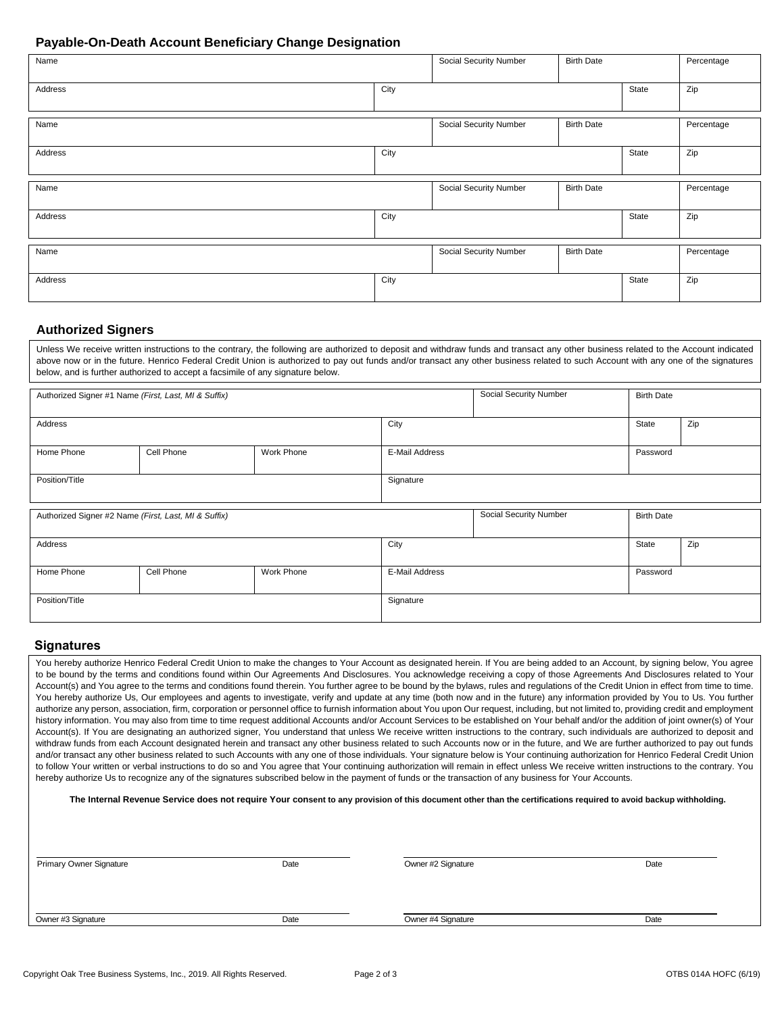# **Payable-On-Death Account Beneficiary Change Designation**

| Name    |      | Social Security Number | <b>Birth Date</b> |       | Percentage |
|---------|------|------------------------|-------------------|-------|------------|
| Address | City |                        |                   | State | Zip        |
| Name    |      | Social Security Number | <b>Birth Date</b> |       | Percentage |
| Address | City |                        |                   | State | Zip        |
| Name    |      | Social Security Number | <b>Birth Date</b> |       | Percentage |
| Address | City |                        |                   | State | Zip        |
| Name    |      | Social Security Number | <b>Birth Date</b> |       | Percentage |
| Address | City |                        |                   | State | Zip        |

# **Authorized Signers**

Unless We receive written instructions to the contrary, the following are authorized to deposit and withdraw funds and transact any other business related to the Account indicated above now or in the future. Henrico Federal Credit Union is authorized to pay out funds and/or transact any other business related to such Account with any one of the signatures below, and is further authorized to accept a facsimile of any signature below.

| Authorized Signer #1 Name (First, Last, MI & Suffix) |            |            | Social Security Number<br><b>Birth Date</b> |                        |                   |     |
|------------------------------------------------------|------------|------------|---------------------------------------------|------------------------|-------------------|-----|
|                                                      |            |            |                                             |                        |                   |     |
| Address                                              |            |            | City                                        |                        | State             | Zip |
|                                                      |            |            |                                             |                        |                   |     |
| Home Phone                                           | Cell Phone | Work Phone | E-Mail Address                              |                        | Password          |     |
|                                                      |            |            |                                             |                        |                   |     |
| Position/Title                                       |            |            | Signature                                   |                        |                   |     |
|                                                      |            |            |                                             |                        |                   |     |
|                                                      |            |            |                                             |                        |                   |     |
| Authorized Signer #2 Name (First, Last, MI & Suffix) |            |            |                                             | Social Security Number | <b>Birth Date</b> |     |

| Address        |            |            | City           |  | State    | Zip |
|----------------|------------|------------|----------------|--|----------|-----|
|                |            |            |                |  |          |     |
| Home Phone     | Cell Phone | Work Phone | E-Mail Address |  | Password |     |
|                |            |            |                |  |          |     |
| Position/Title |            |            | Signature      |  |          |     |
|                |            |            |                |  |          |     |

### **Signatures**

You hereby authorize Henrico Federal Credit Union to make the changes to Your Account as designated herein. If You are being added to an Account, by signing below, You agree to be bound by the terms and conditions found within Our Agreements And Disclosures. You acknowledge receiving a copy of those Agreements And Disclosures related to Your Account(s) and You agree to the terms and conditions found therein. You further agree to be bound by the bylaws, rules and regulations of the Credit Union in effect from time to time. You hereby authorize Us, Our employees and agents to investigate, verify and update at any time (both now and in the future) any information provided by You to Us. You further authorize any person, association, firm, corporation or personnel office to furnish information about You upon Our request, including, but not limited to, providing credit and employment history information. You may also from time to time request additional Accounts and/or Account Services to be established on Your behalf and/or the addition of joint owner(s) of Your Account(s). If You are designating an authorized signer, You understand that unless We receive written instructions to the contrary, such individuals are authorized to deposit and withdraw funds from each Account designated herein and transact any other business related to such Accounts now or in the future, and We are further authorized to pay out funds and/or transact any other business related to such Accounts with any one of those individuals. Your signature below is Your continuing authorization for Henrico Federal Credit Union to follow Your written or verbal instructions to do so and You agree that Your continuing authorization will remain in effect unless We receive written instructions to the contrary. You hereby authorize Us to recognize any of the signatures subscribed below in the payment of funds or the transaction of any business for Your Accounts.

#### **The Internal Revenue Service does not require Your consent to any provision of this document other than the certifications required to avoid backup withholding.**

| <b>Primary Owner Signature</b> | Date | Owner #2 Signature | Date |
|--------------------------------|------|--------------------|------|
|                                |      |                    |      |
| Owner #3 Signature             | Date | Owner #4 Signature | Date |